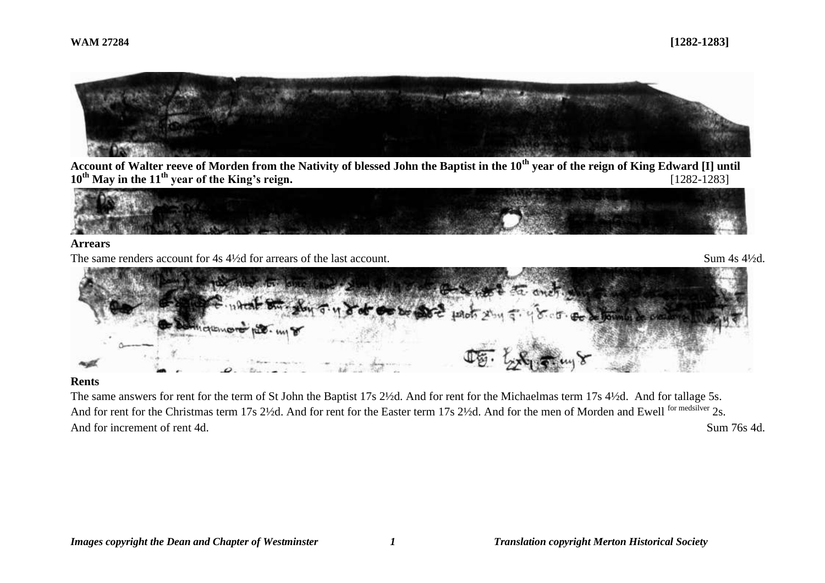

**Account of Walter reeve of Morden from the Nativity of blessed John the Baptist in the 10th year of the reign of King Edward [I] until 10th May in the 11th year of the King's reign.** [1282-1283]



#### **Arrears**

The same renders account for 4s 4<sup>1</sup>/<sub>2</sub>d for arrears of the last account. Sum 4s 4<sup>1</sup>/<sub>2d</sub>.



## **Rents**

The same answers for rent for the term of St John the Baptist 17s 2½d. And for rent for the Michaelmas term 17s 4½d. And for tallage 5s. And for rent for the Christmas term 17s 2½d. And for rent for the Easter term 17s 2½d. And for the men of Morden and Ewell <sup>for medsilver</sup> 2s. And for increment of rent 4d. Sum 76s 4d.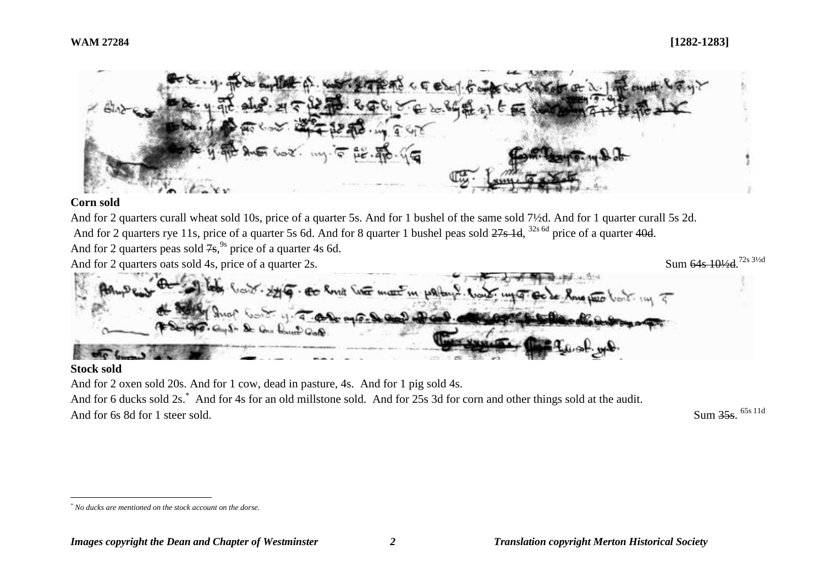

# **Corn sold**

And for 2 quarters curall wheat sold 10s, price of a quarter 5s. And for 1 bushel of the same sold 7½d. And for 1 quarter curall 5s 2d. And for 2 quarters rye 11s, price of a quarter 5s 6d. And for 8 quarter 1 bushel peas sold <del>27s 1d</del>, <sup>32s 6d</sup> price of a quarter 40<del>d</del>. And for 2 quarters peas sold  $7s$ ,<sup>9s</sup> price of a quarter 4s 6d. And for 2 quarters oats sold 4s, price of a quarter 2s. Sum 64s 101/<sub>2</sub>d 72s 31/2d



# **Stock sold**

And for 2 oxen sold 20s. And for 1 cow, dead in pasture, 4s. And for 1 pig sold 4s. And for 6 ducks sold 2s.<sup>\*</sup> And for 4s for an old millstone sold. And for 25s 3d for corn and other things sold at the audit. And for 6s 8d for 1 steer sold.

Sum 35s. 65s 11d

 $\overline{a}$ *\* No ducks are mentioned on the stock account on the dorse.*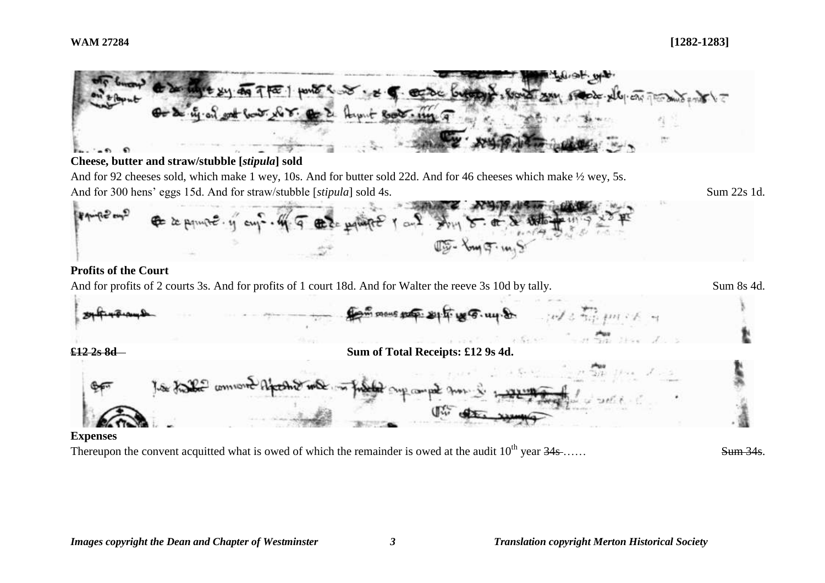

#### **Cheese, butter and straw/stubble [***stipula***] sold**

And for 92 cheeses sold, which make 1 wey, 10s. And for butter sold 22d. And for 46 cheeses which make  $\frac{1}{2}$  wey, 5s. And for 300 hens' eggs 15d. And for straw/stubble [*stipula*] sold 4s. Sum 22s 1d.



# **Profits of the Court**

And for profits of 2 courts 3s. And for profits of 1 court 18d. And for Walter the reeve 3s 10d by tally. Sum 8s 4d.



# **Expenses**

Thereupon the convent acquitted what is owed of which the remainder is owed at the audit  $10^{th}$  year  $34s$ .....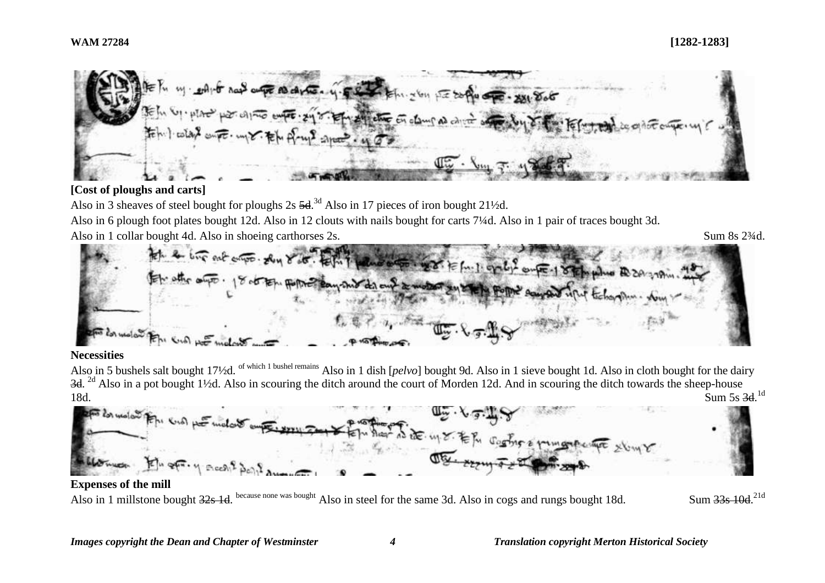

# **[Cost of ploughs and carts]**

Also in 3 sheaves of steel bought for ploughs  $2s\,5d^{3d}$  Also in 17 pieces of iron bought 21 $\frac{1}{2}d$ .

Also in 6 plough foot plates bought 12d. Also in 12 clouts with nails bought for carts 7¼d. Also in 1 pair of traces bought 3d.

Also in 1 collar bought 4d. Also in shoeing carthorses 2s. Sum 8s 2<sup>3</sup>/4d.

Sum 33s 10d <sup>21d</sup>



#### **Necessities**

Also in 5 bushels salt bought 17<sup>1</sup>/2d. <sup>of which 1 bushel remains</sup> Also in 1 dish [*pelvo*] bought 9d. Also in 1 sieve bought 1d. Also in cloth bought for the dairy 3d. <sup>2d</sup> Also in a pot bought 1½d. Also in scouring the ditch around the court of Morden 12d. And in scouring the ditch towards the sheep-house 18d. Sum 5s 3d. Sum 5s 3d.<sup>1d</sup>



## **Expenses of the mill**

Also in 1 millstone bought <del>32s 1d</del>. <sup>because none was bought</sup> Also in steel for the same 3d. Also in cogs and rungs bought 18d. Sum 33s 10d.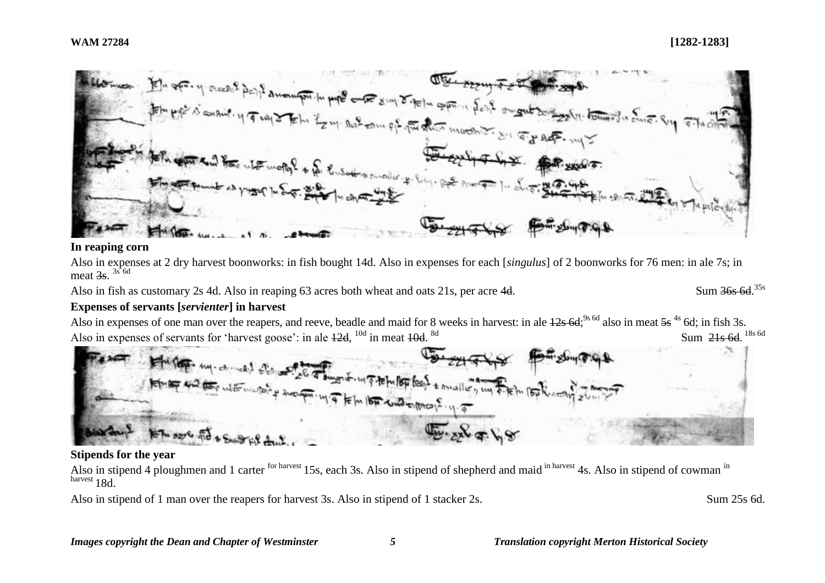

#### **In reaping corn**

Also in expenses at 2 dry harvest boonworks: in fish bought 14d. Also in expenses for each [*singulus*] of 2 boonworks for 76 men: in ale 7s; in meat <del>3s</del>.  $3s$  <sup>6d</sup>

Also in fish as customary 2s 4d. Also in reaping 63 acres both wheat and oats 21s, per acre 4d.

```
Sum 36s 6d 35s
```
# **Expenses of servants [***servienter***] in harvest**

Also in expenses of one man over the reapers, and reeve, beadle and maid for 8 weeks in harvest: in ale  $12s$  6d;<sup>9s 6d</sup> also in meat  $5s$ <sup>4s</sup> 6d; in fish 3s. Also in expenses of servants for 'harvest goose': in ale  $42d$ ,  $^{10d}$  in meat  $40d$ .  $\frac{8d}{18}$  Sum  $\frac{21s}{6d}$ .  $\frac{18s}{6d}$ 



# **Stipends for the year**

Also in stipend 4 ploughmen and 1 carter <sup>for harvest</sup> 15s, each 3s. Also in stipend of shepherd and maid <sup>in harvest</sup> 4s. Also in stipend of cowman <sup>in</sup> harvest 18d.

Also in stipend of 1 man over the reapers for harvest 3s. Also in stipend of 1 stacker 2s. Sum 25s 6d.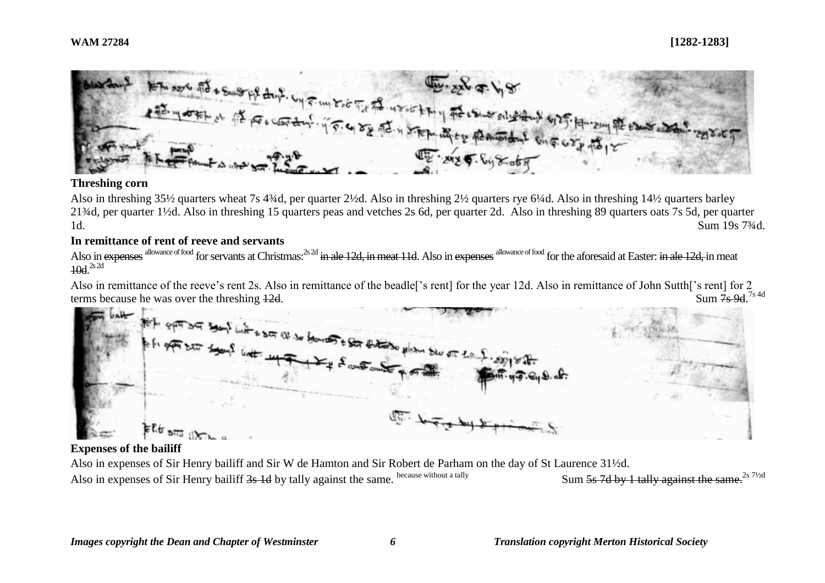

# **Threshing corn**

Also in threshing 35½ quarters wheat 7s 4¾d, per quarter 2½d. Also in threshing 2½ quarters rye 6¼d. Also in threshing 14½ quarters barley 21¾d, per quarter 1½d. Also in threshing 15 quarters peas and vetches 2s 6d, per quarter 2d. Also in threshing 89 quarters oats 7s 5d, per quarter 1d. Sum 19s 7¾d.

# **In remittance of rent of reeve and servants**

Also in expenses allowance of food for servants at Christmas:<sup>2s 2d</sup> in ale 12d, in meat 11d. Also in expenses allowance of food for the aforesaid at Easter: in ale 12d, in meat  $10d.<sup>2s 2d</sup>$ 

Also in remittance of the reeve's rent 2s. Also in remittance of the beadle['s rent] for the year 12d. Also in remittance of John Sutth['s rent] for 2 terms because he was over the threshing  $12d$ . Sum  $7s$  9d  $7s$  4d



# **Expenses of the bailiff**

Also in expenses of Sir Henry bailiff and Sir W de Hamton and Sir Robert de Parham on the day of St Laurence 31½d. Also in expenses of Sir Henry bailiff 3s 1d by tally against the same. because without a tally Sum 5s 7d by 1 tally against the same.<sup>2s 71/2d</sup>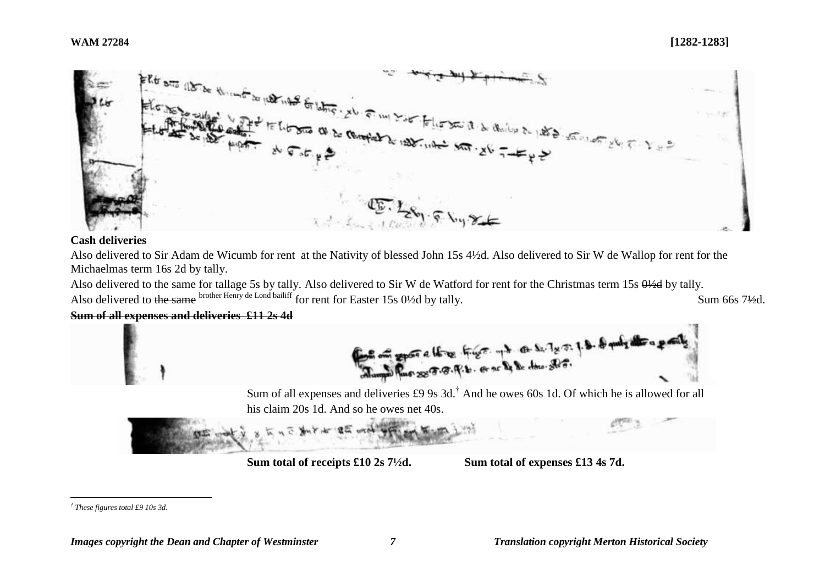

# **Cash deliveries**

Also delivered to Sir Adam de Wicumb for rent at the Nativity of blessed John 15s 4½d. Also delivered to Sir W de Wallop for rent for the Michaelmas term 16s 2d by tally.

Also delivered to the same for tallage 5s by tally. Also delivered to Sir W de Watford for rent for the Christmas term 15s  $0\frac{1}{2}$ d by tally. Also delivered to the same brother Henry de Lond bailiff for rent for Easter 15s 0<sup>1</sup>/2d by tally. Sum 66s 7<sup>1/2</sup>d.

# **Sum of all expenses and deliveries £11 2s 4d**



Sum of all expenses and deliveries £9 9s 3d.† And he owes 60s 1d. Of which he is allowed for all his claim 20s 1d. And so he owes net 40s.



**Sum total of receipts £10 2s 7½d. Sum total of expenses £13 4s 7d.**

 $\overline{a}$ *† These figures total £9 10s 3d.*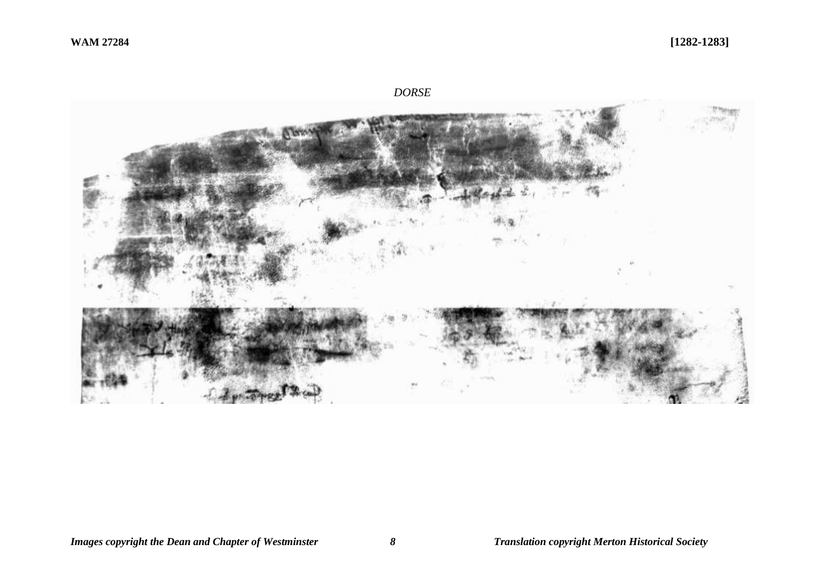*DORSE*

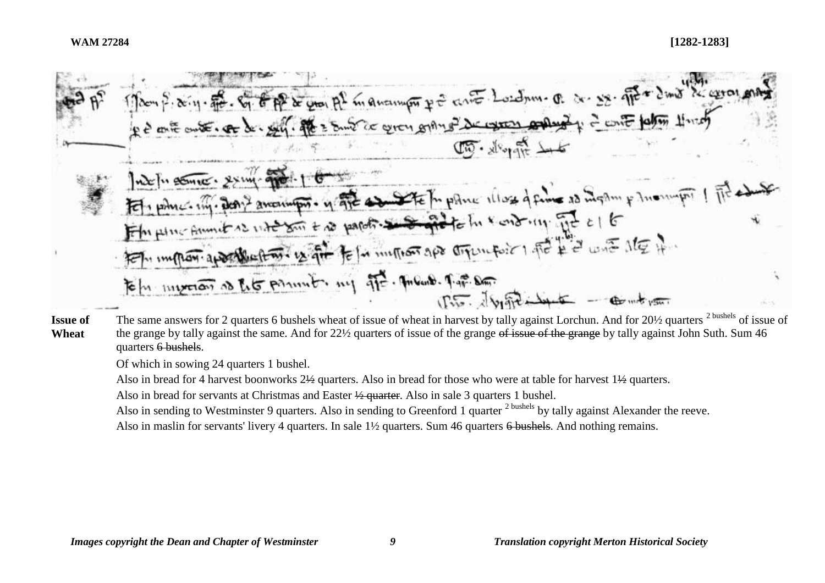\n
$$
\frac{1}{2}
$$
  $\frac{1}{2}$   $\frac{1}{2}$   $\frac{1}{2}$   $\frac{1}{2}$   $\frac{1}{2}$   $\frac{1}{2}$   $\frac{1}{2}$   $\frac{1}{2}$   $\frac{1}{2}$   $\frac{1}{2}$   $\frac{1}{2}$   $\frac{1}{2}$   $\frac{1}{2}$   $\frac{1}{2}$   $\frac{1}{2}$   $\frac{1}{2}$   $\frac{1}{2}$   $\frac{1}{2}$   $\frac{1}{2}$   $\frac{1}{2}$   $\frac{1}{2}$   $\frac{1}{2}$   $\frac{1}{2}$   $\frac{1}{2}$   $\frac{1}{2}$   $\frac{1}{2}$   $\frac{1}{2}$   $\frac{1}{2}$   $\frac{1}{2}$   $\frac{1}{2}$   $\frac{1}{2}$   $\frac{1}{2}$   $\frac{1}{2}$   $\frac{1}{2}$   $\frac{1}{2}$   $\frac{1}{2}$   $\frac{1}{2}$   $\frac{1}{2}$   $\frac{1}{2}$   $\frac{1}{2}$   $\frac{1}{2}$   $\frac{1}{2}$   $\frac{1}{2}$   $\frac{1}{2}$   $\frac{1}{2}$   $\frac{1}{2}$   $\frac{1}{2}$   $\frac{1}{2}$   $\frac{1}{2}$   $\frac{1}{2}$   $\frac{1}{2}$   $\frac{1}{2}$   $\frac{1}{2}$   $\frac{1}{2}$   $\frac{1}{2}$   $\frac{1}{2}$   $\frac{1}{2}$   $\frac{1}{2}$   $\frac{1}{2}$   $\frac{1}{2}$   $\frac{1}{2}$   $\frac{1}{2}$   $\frac{1}{2}$   $\frac{1}{2}$   $\frac{1}{2}$   $\frac{1}{2}$   $\frac{1}{2}$   $\frac{1}{2}$   $\$ 

#### **Issue of Wheat** The same answers for 2 quarters 6 bushels wheat of issue of wheat in harvest by tally against Lorchun. And for 20½ quarters <sup>2 bushels</sup> of issue of the grange by tally against the same. And for 22½ quarters of issue of the grange of issue of the grange by tally against John Suth. Sum 46 quarters 6 bushels.

Of which in sowing 24 quarters 1 bushel.

Also in bread for 4 harvest boonworks  $2\frac{1}{2}$  quarters. Also in bread for those who were at table for harvest  $1\frac{1}{2}$  quarters.

Also in bread for servants at Christmas and Easter ½ quarter. Also in sale 3 quarters 1 bushel.

Also in sending to Westminster 9 quarters. Also in sending to Greenford 1 quarter <sup>2 bushels</sup> by tally against Alexander the reeve.

Also in maslin for servants' livery 4 quarters. In sale 1½ quarters. Sum 46 quarters 6 bushels. And nothing remains.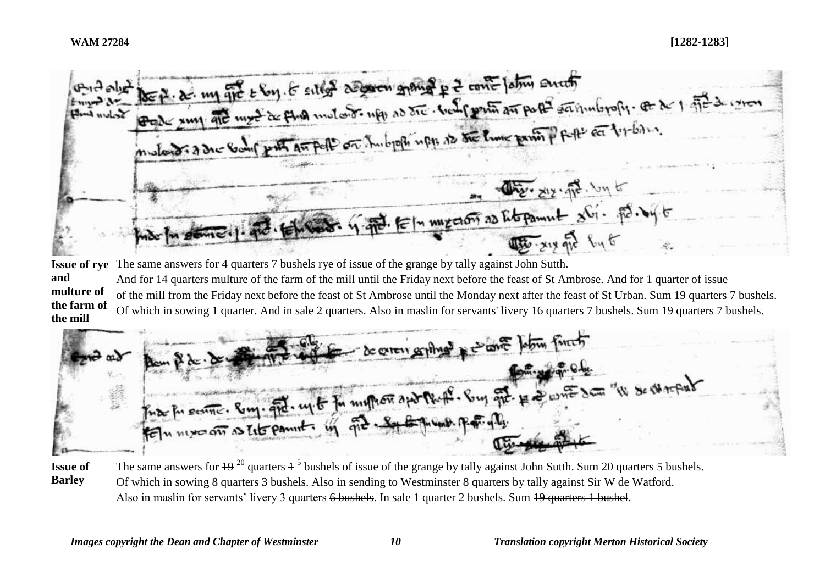the p. a. my fit & Soy. If sitted as someon gyang p 2 conte lation south  $Q$   $d$   $d$ Serlun And Dre. ziz. fr. Jul Elm myeron as Et pamut sti. på. by t

**Issue of rye**  The same answers for 4 quarters 7 bushels rye of issue of the grange by tally against John Sutth. **and multure of the farm of the mill** And for 14 quarters multure of the farm of the mill until the Friday next before the feast of St Ambrose. And for 1 quarter of issue of the mill from the Friday next before the feast of St Ambrose until the Monday next after the feast of St Urban. Sum 19 quarters 7 bushels. Of which in sowing 1 quarter. And in sale 2 quarters. Also in maslin for servants' livery 16 quarters 7 bushels. Sum 19 quarters 7 bushels.



**Issue of Barley** The same answers for  $19^{20}$  quarters  $1^5$  bushels of issue of the grange by tally against John Sutth. Sum 20 quarters 5 bushels. Of which in sowing 8 quarters 3 bushels. Also in sending to Westminster 8 quarters by tally against Sir W de Watford. Also in maslin for servants' livery 3 quarters 6 bushels. In sale 1 quarter 2 bushels. Sum 19 quarters 1 bushel.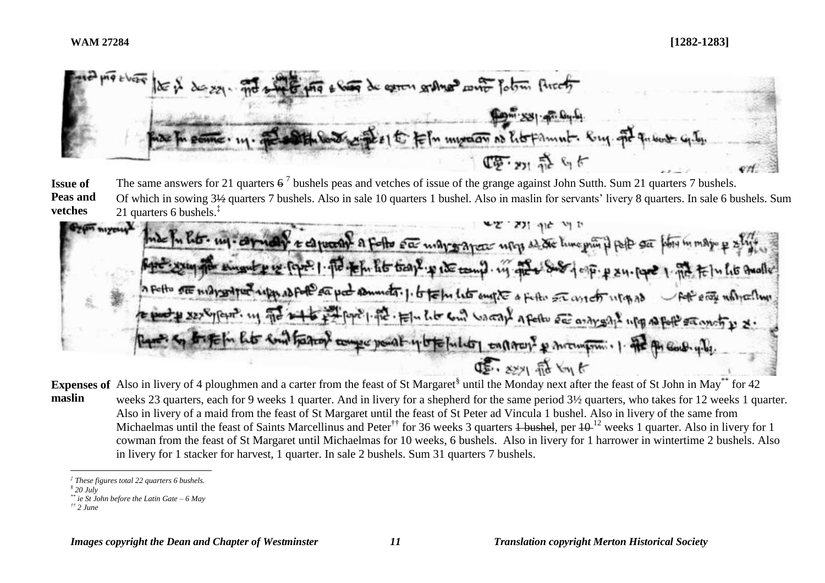man Carling In motors of hotamnt. (車) 森らぐ

**Issue of Peas and vetches** The same answers for 21 quarters  $6^7$  bushels peas and vetches of issue of the grange against John Sutth. Sum 21 quarters 7 bushels. Of which in sowing 3½ quarters 7 bushels. Also in sale 10 quarters 1 bushel. Also in maslin for servants' livery 8 quarters. In sale 6 bushels. Sum 21 quarters 6 bushels.<sup>‡</sup>

 $Gym<sub>normal</sub>$ to capace of a follow of may or area using as the time principle of Fin ht trap p ite tomp. in the Sur te pa pa sommator 1. to te for late empte a fatte are avector usa as Foll erry university 1. ft. El lit com vacan a felle de anaysant up a fell samot p & earthaton compe point y to folled another p mompoun . 1. The p DE. 8771 Fit Von &

Expenses of Also in livery of 4 ploughmen and a carter from the feast of St Margaret<sup>§</sup> until the Monday next after the feast of St John in May\*\* for 42 **maslin** weeks 23 quarters, each for 9 weeks 1 quarter. And in livery for a shepherd for the same period 3½ quarters, who takes for 12 weeks 1 quarter. Also in livery of a maid from the feast of St Margaret until the feast of St Peter ad Vincula 1 bushel. Also in livery of the same from Michaelmas until the feast of Saints Marcellinus and Peter<sup>††</sup> for 36 weeks 3 quarters <del>1 bushel</del>, per  $10^{-12}$  weeks 1 quarter. Also in livery for 1 cowman from the feast of St Margaret until Michaelmas for 10 weeks, 6 bushels. Also in livery for 1 harrower in wintertime 2 bushels. Also in livery for 1 stacker for harvest, 1 quarter. In sale 2 bushels. Sum 31 quarters 7 bushels.

 $\overline{a}$ 

*<sup>‡</sup> These figures total 22 quarters 6 bushels.*

*<sup>§</sup> 20 July*

*<sup>\*\*</sup> ie St John before the Latin Gate – 6 May*

*<sup>††</sup> 2 June*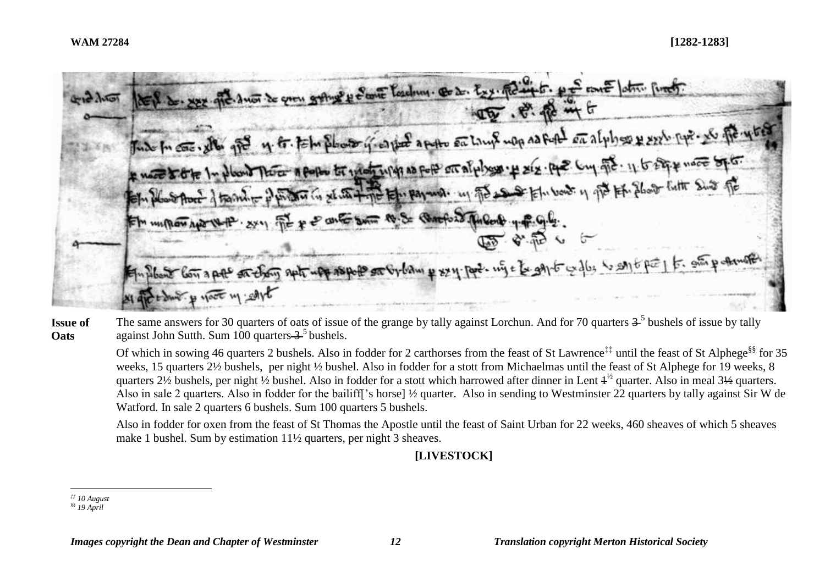|  | tel de xxx que de son de que grange y fame losdrum. Ce de les petites pe en latin port.<br>45 . P. R. in t                         |
|--|------------------------------------------------------------------------------------------------------------------------------------|
|  | Jude In case, eller gre 4. Et. Felm photo y esport aposto en Lamp map as fort en alphoso & seel. pp? No fe 14 bed                  |
|  | * neces to the In plant There a pope to what which as for enalphysis. # xix. pp2 Cuy gie. 11 to stip + more by to.                 |
|  | Felin plano About of the month of photos in set with the tele payment. in The sea of Elin bout in ofthe His Chose Fulte Shirt offe |
|  | Em un mon aporte P. 271 FE + & anto sum to Se Queford Tubol + P. G.G.                                                              |
|  | 120 B. B. C.                                                                                                                       |
|  | Employed low a poll on choing such upp stopped on Gyliam & sylippe. wife to gay to galls is say to pool to gain p demotion         |
|  | sight to dure y yout my solve                                                                                                      |

**Issue of Oats** The same answers for 30 quarters of oats of issue of the grange by tally against Lorchun. And for 70 quarters  $3<sup>5</sup>$  bushels of issue by tally against John Sutth. Sum  $100$  quarters  $3<sup>5</sup>$  bushels.

Of which in sowing 46 quarters 2 bushels. Also in fodder for 2 carthorses from the feast of St Lawrence<sup>‡‡</sup> until the feast of St Alphege<sup>§§</sup> for 35 weeks, 15 quarters 2½ bushels, per night ½ bushel. Also in fodder for a stott from Michaelmas until the feast of St Alphege for 19 weeks, 8 quarters 2½ bushels, per night ½ bushel. Also in fodder for a stott which harrowed after dinner in Lent  $4^{\frac{1}{2}}$  quarter. Also in meal 3½ quarters. Also in sale 2 quarters. Also in fodder for the bailiff['s horse] ½ quarter. Also in sending to Westminster 22 quarters by tally against Sir W de Watford. In sale 2 quarters 6 bushels. Sum 100 quarters 5 bushels.

Also in fodder for oxen from the feast of St Thomas the Apostle until the feast of Saint Urban for 22 weeks, 460 sheaves of which 5 sheaves make 1 bushel. Sum by estimation 11½ quarters, per night 3 sheaves.

**[LIVESTOCK]**

 $\overline{a}$ *‡‡ 10 August*

*<sup>§§</sup> 19 April*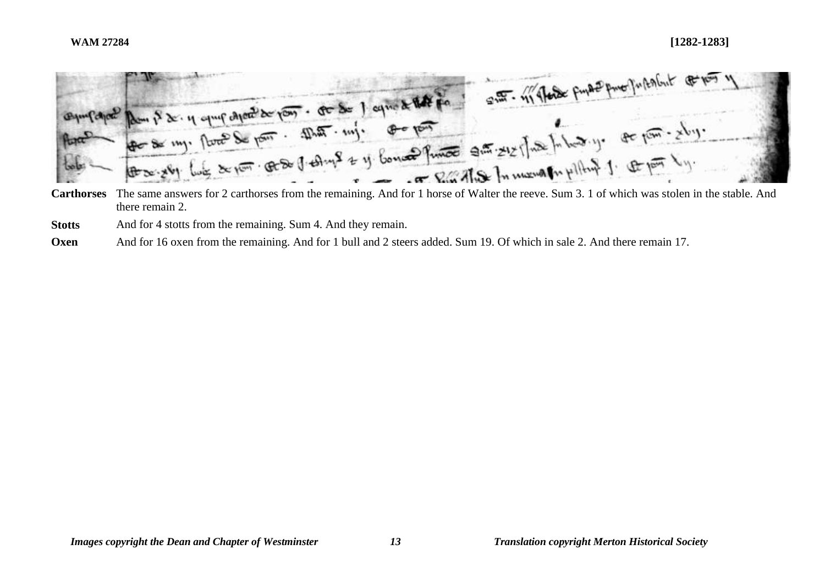

there remain 2.

**Stotts** And for 4 stotts from the remaining. Sum 4. And they remain.

**Oxen** And for 16 oxen from the remaining. And for 1 bull and 2 steers added. Sum 19. Of which in sale 2. And there remain 17.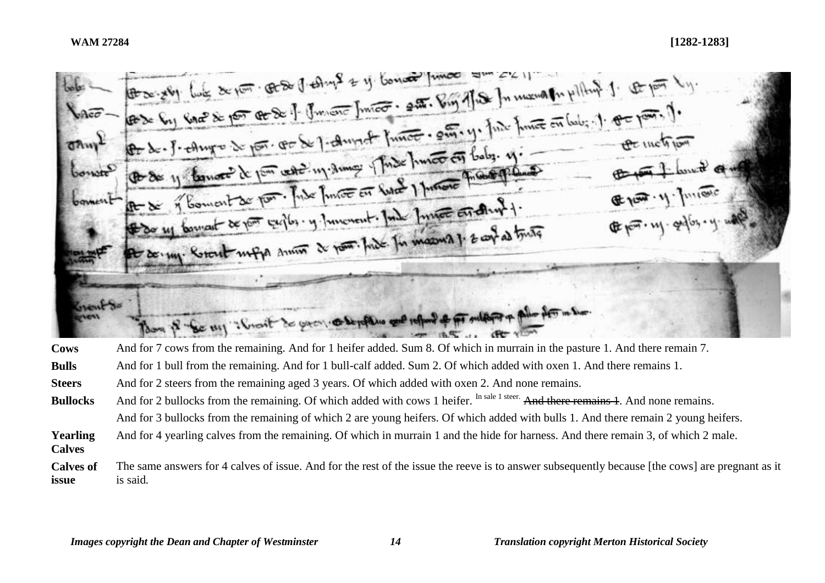

**Cows** And for 7 cows from the remaining. And for 1 heifer added. Sum 8. Of which in murrain in the pasture 1. And there remain 7.

- **Bulls** And for 1 bull from the remaining. And for 1 bull-calf added. Sum 2. Of which added with oxen 1. And there remains 1.
- **Steers** And for 2 steers from the remaining aged 3 years. Of which added with oxen 2. And none remains.
- **Bullocks** And for 2 bullocks from the remaining. Of which added with cows 1 heifer. In sale 1 steer. And there remains 1. And none remains. And for 3 bullocks from the remaining of which 2 are young heifers. Of which added with bulls 1. And there remain 2 young heifers.
- **Yearling Calves**  And for 4 yearling calves from the remaining. Of which in murrain 1 and the hide for harness. And there remain 3, of which 2 male.
- **Calves of issue** The same answers for 4 calves of issue. And for the rest of the issue the reeve is to answer subsequently because [the cows] are pregnant as it is said*.*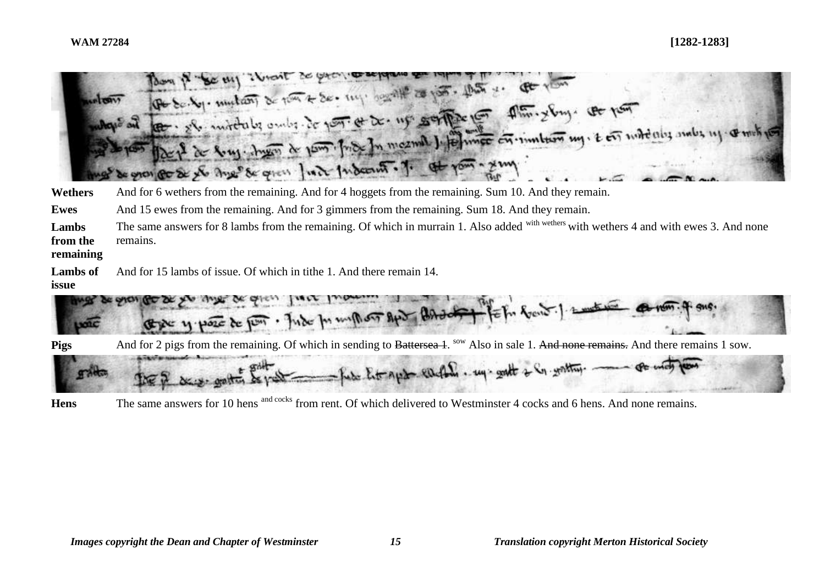|                                | (Pt Sc. by. mutan) & non & Se. my. degrate as por. that y. Pt you<br>to - she interests only it por a to up soffer to this you to par<br>LI de fruge shares de pous fride In mount le fermee en inntern my. t en mitentig ambs ny comet no<br>de grou po de yle Angel de greu fuit fudeout. J. at your - you |
|--------------------------------|--------------------------------------------------------------------------------------------------------------------------------------------------------------------------------------------------------------------------------------------------------------------------------------------------------------|
| Wethers                        | And for 6 wethers from the remaining. And for 4 hoggets from the remaining. Sum 10. And they remain.                                                                                                                                                                                                         |
| Ewes                           | And 15 ewes from the remaining. And for 3 gimmers from the remaining. Sum 18. And they remain.                                                                                                                                                                                                               |
| Lambs<br>from the<br>remaining | The same answers for 8 lambs from the remaining. Of which in murrain 1. Also added with wethers 4 and with ewes 3. And none<br>remains.                                                                                                                                                                      |
| <b>Lambs</b> of<br>issue       | And for 15 lambs of issue. Of which in tithe 1. And there remain 14.                                                                                                                                                                                                                                         |
|                                | Exec y pose de pour. Jude pour mons apr Brade + fe for fort. ] and we                                                                                                                                                                                                                                        |
| <b>Pigs</b>                    | And for 2 pigs from the remaining. Of which in sending to Battersea 1. <sup>sow</sup> Also in sale 1. And none remains. And there remains 1 sow.                                                                                                                                                             |
|                                | I few Entraged earthing, my gratt + is gratting. The whole                                                                                                                                                                                                                                                   |

Hens The same answers for 10 hens and cocks from rent. Of which delivered to Westminster 4 cocks and 6 hens. And none remains.